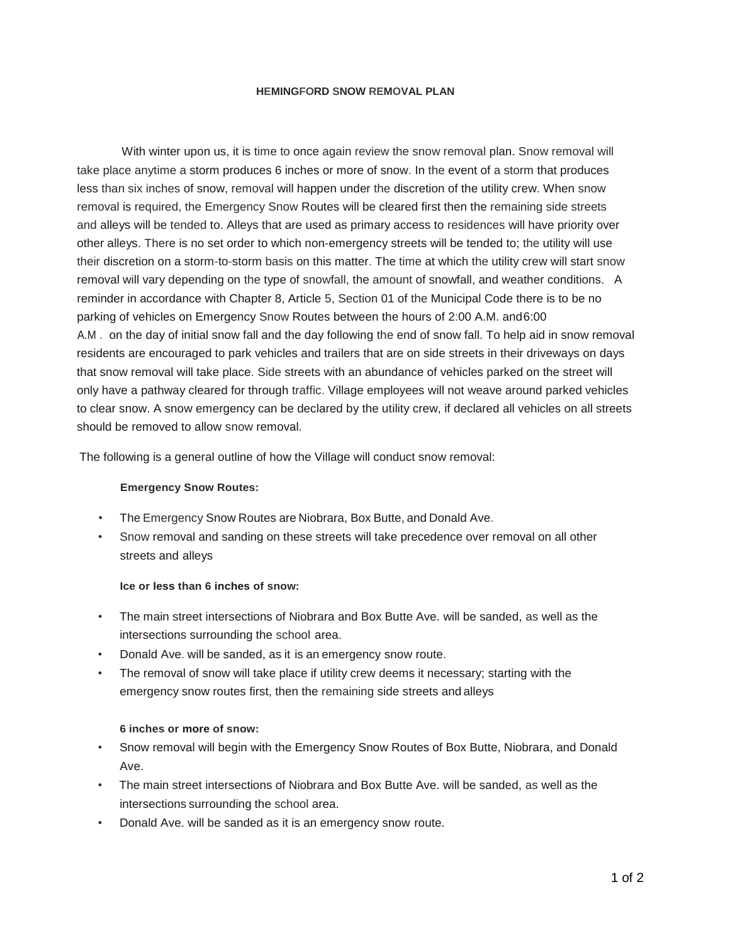#### **HEMINGFORD SNOW REMOVAL PLAN**

With winter upon us, it is time to once again review the snow removal plan. Snow removal will take place anytime a storm produces 6 inches or more of snow. In the event of a storm that produces less than six inches of snow, removal will happen under the discretion of the utility crew. When snow removal is required, the Emergency Snow Routes will be cleared first then the remaining side streets and alleys will be tended to. Alleys that are used as primary access to residences will have priority over other alleys. There is no set order to which non-emergency streets will be tended to; the utility will use their discretion on a storm-to-storm basis on this matter. The time at which the utility crew will start snow removal will vary depending on the type of snowfall, the amount of snowfall, and weather conditions. A reminder in accordance with Chapter 8, Article 5, Section 01 of the Municipal Code there is to be no parking of vehicles on Emergency Snow Routes between the hours of 2:00 A.M. and6:00 A.M . on the day of initial snow fall and the day following the end of snow fall. To help aid in snow removal residents are encouraged to park vehicles and trailers that are on side streets in their driveways on days that snow removal will take place. Side streets with an abundance of vehicles parked on the street will only have a pathway cleared for through traffic. Village employees will not weave around parked vehicles to clear snow. A snow emergency can be declared by the utility crew, if declared all vehicles on all streets should be removed to allow snow removal.

The following is a general outline of how the Village will conduct snow removal:

## **Emergency Snow Routes:**

- The Emergency Snow Routes are Niobrara, Box Butte, and Donald Ave.
- Snow removal and sanding on these streets will take precedence over removal on all other streets and alleys

## **Ice or less than 6 inches of snow:**

- The main street intersections of Niobrara and Box Butte Ave. will be sanded, as well as the intersections surrounding the school area.
- Donald Ave. will be sanded, as it is an emergency snow route.
- The removal of snow will take place if utility crew deems it necessary; starting with the emergency snow routes first, then the remaining side streets and alleys

#### **6 inches or more of snow:**

- Snow removal will begin with the Emergency Snow Routes of Box Butte, Niobrara, and Donald Ave.
- The main street intersections of Niobrara and Box Butte Ave. will be sanded, as well as the intersections surrounding the school area.
- Donald Ave. will be sanded as it is an emergency snow route.